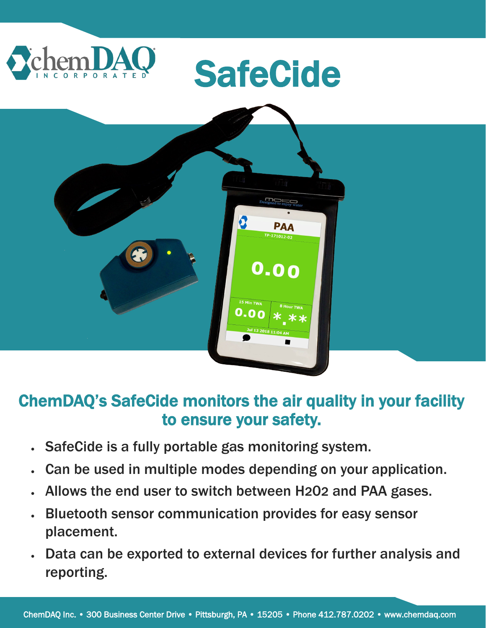

## ChemDAQ's SafeCide monitors the air quality in your facility to ensure your safety.

- SafeCide is a fully portable gas monitoring system.
- Can be used in multiple modes depending on your application.
- Allows the end user to switch between H202 and PAA gases.
- Bluetooth sensor communication provides for easy sensor placement.
- Data can be exported to external devices for further analysis and reporting.